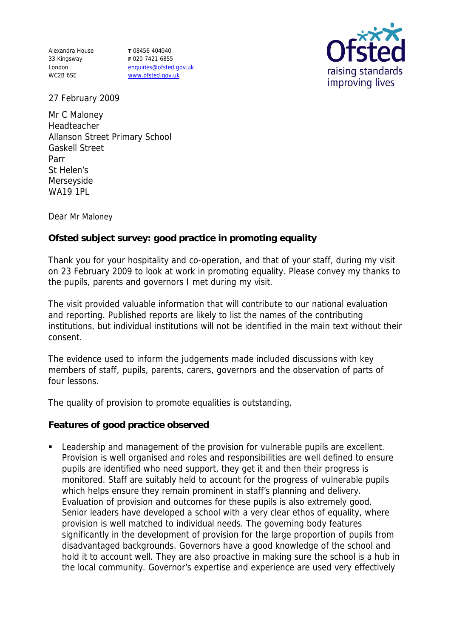Alexandra House 33 Kingsway London WC2B 6SE

**T** 08456 404040 **F** 020 7421 6855 enquiries@ofsted.gov.uk www.ofsted.gov.uk



27 February 2009

Mr C Maloney **Headteacher** Allanson Street Primary School Gaskell Street Parr St Helen's Merseyside WA19 1PL

Dear Mr Maloney

**Ofsted subject survey: good practice in promoting equality** 

Thank you for your hospitality and co-operation, and that of your staff, during my visit on 23 February 2009 to look at work in promoting equality. Please convey my thanks to the pupils, parents and governors I met during my visit.

The visit provided valuable information that will contribute to our national evaluation and reporting. Published reports are likely to list the names of the contributing institutions, but individual institutions will not be identified in the main text without their consent.

The evidence used to inform the judgements made included discussions with key members of staff, pupils, parents, carers, governors and the observation of parts of four lessons.

The quality of provision to promote equalities is outstanding.

**Features of good practice observed**

**EXECT** Leadership and management of the provision for vulnerable pupils are excellent. Provision is well organised and roles and responsibilities are well defined to ensure pupils are identified who need support, they get it and then their progress is monitored. Staff are suitably held to account for the progress of vulnerable pupils which helps ensure they remain prominent in staff's planning and delivery. Evaluation of provision and outcomes for these pupils is also extremely good. Senior leaders have developed a school with a very clear ethos of equality, where provision is well matched to individual needs. The governing body features significantly in the development of provision for the large proportion of pupils from disadvantaged backgrounds. Governors have a good knowledge of the school and hold it to account well. They are also proactive in making sure the school is a hub in the local community. Governor's expertise and experience are used very effectively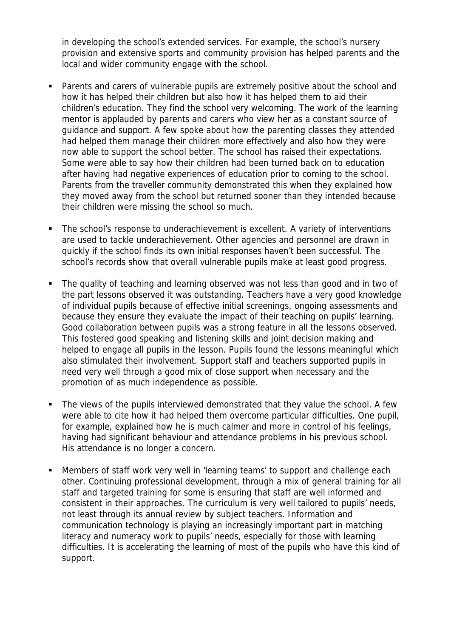in developing the school's extended services. For example, the school's nursery provision and extensive sports and community provision has helped parents and the local and wider community engage with the school.

- Parents and carers of vulnerable pupils are extremely positive about the school and how it has helped their children but also how it has helped them to aid their children's education. They find the school very welcoming. The work of the learning mentor is applauded by parents and carers who view her as a constant source of guidance and support. A few spoke about how the parenting classes they attended had helped them manage their children more effectively and also how they were now able to support the school better. The school has raised their expectations. Some were able to say how their children had been turned back on to education after having had negative experiences of education prior to coming to the school. Parents from the traveller community demonstrated this when they explained how they moved away from the school but returned sooner than they intended because their children were missing the school so much.
- The school's response to underachievement is excellent. A variety of interventions are used to tackle underachievement. Other agencies and personnel are drawn in quickly if the school finds its own initial responses haven't been successful. The school's records show that overall vulnerable pupils make at least good progress.
- The quality of teaching and learning observed was not less than good and in two of the part lessons observed it was outstanding. Teachers have a very good knowledge of individual pupils because of effective initial screenings, ongoing assessments and because they ensure they evaluate the impact of their teaching on pupils' learning. Good collaboration between pupils was a strong feature in all the lessons observed. This fostered good speaking and listening skills and joint decision making and helped to engage all pupils in the lesson. Pupils found the lessons meaningful which also stimulated their involvement. Support staff and teachers supported pupils in need very well through a good mix of close support when necessary and the promotion of as much independence as possible.
- The views of the pupils interviewed demonstrated that they value the school. A few were able to cite how it had helped them overcome particular difficulties. One pupil, for example, explained how he is much calmer and more in control of his feelings, having had significant behaviour and attendance problems in his previous school. His attendance is no longer a concern.
- Members of staff work very well in 'learning teams' to support and challenge each other. Continuing professional development, through a mix of general training for all staff and targeted training for some is ensuring that staff are well informed and consistent in their approaches. The curriculum is very well tailored to pupils' needs, not least through its annual review by subject teachers. Information and communication technology is playing an increasingly important part in matching literacy and numeracy work to pupils' needs, especially for those with learning difficulties. It is accelerating the learning of most of the pupils who have this kind of support.